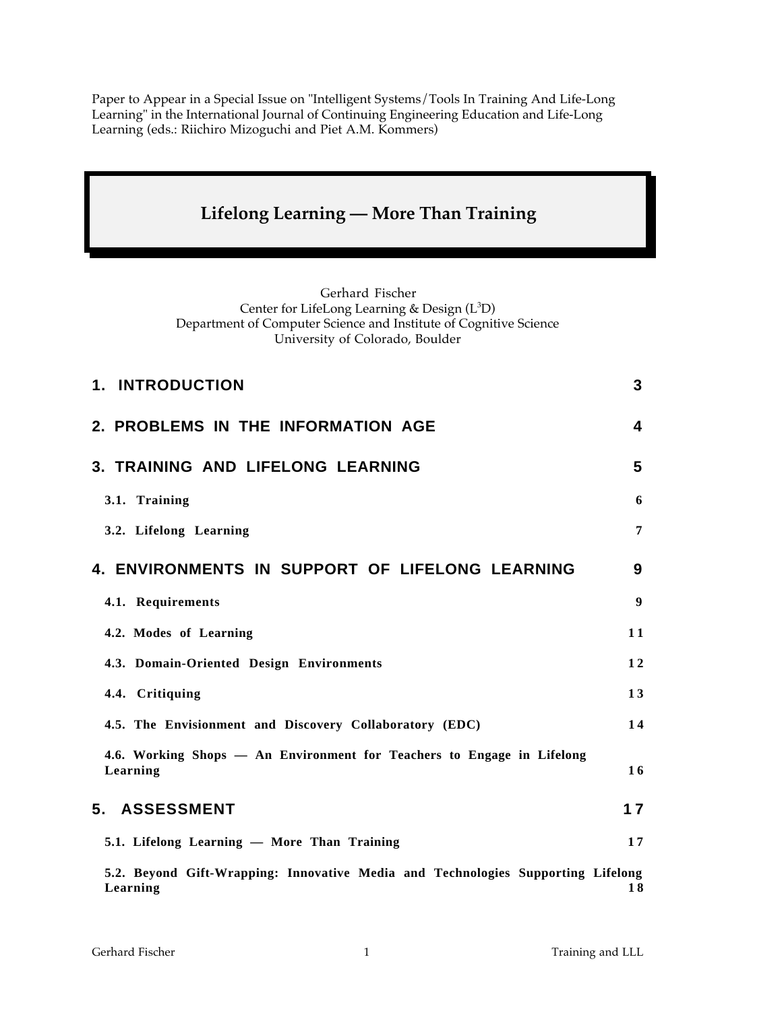Paper to Appear in a Special Issue on "Intelligent Systems/Tools In Training And Life-Long Learning" in the International Journal of Continuing Engineering Education and Life-Long Learning (eds.: Riichiro Mizoguchi and Piet A.M. Kommers)

# **Lifelong Learning — More Than Training**

Gerhard Fischer Center for LifeLong Learning & Design (L<sup>3</sup>D) Department of Computer Science and Institute of Cognitive Science University of Colorado, Boulder

| 1. INTRODUCTION                                                                    | 3                |
|------------------------------------------------------------------------------------|------------------|
| 2. PROBLEMS IN THE INFORMATION AGE                                                 | 4                |
| 3. TRAINING AND LIFELONG LEARNING                                                  | 5                |
| 3.1. Training                                                                      | 6                |
| 3.2. Lifelong Learning                                                             | $\overline{7}$   |
| <b>4. ENVIRONMENTS IN SUPPORT OF LIFELONG LEARNING</b>                             | 9                |
| 4.1. Requirements                                                                  | $\boldsymbol{9}$ |
| 4.2. Modes of Learning                                                             | 11               |
| 4.3. Domain-Oriented Design Environments                                           | 12               |
| 4.4. Critiquing                                                                    | 13               |
| 4.5. The Envisionment and Discovery Collaboratory (EDC)                            | 14               |
| 4.6. Working Shops — An Environment for Teachers to Engage in Lifelong<br>Learning | 16               |
| 5. ASSESSMENT                                                                      | 17               |
| 5.1. Lifelong Learning - More Than Training                                        | 17               |
| 5.2. Beyond Gift-Wrapping: Innovative Media and Technologies Supporting Lifelong   |                  |

**Learning 1 8**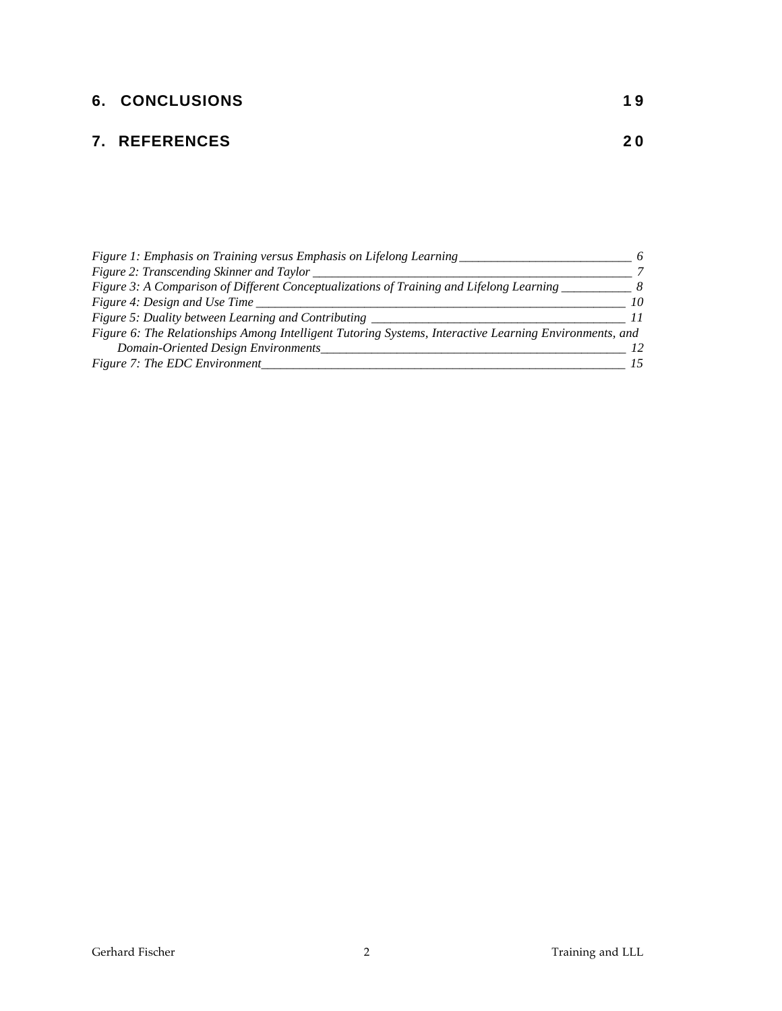# **6. CONCLUSIONS** 19

## **7. REFERENCES 2 0**

| Figure 1: Emphasis on Training versus Emphasis on Lifelong Learning                                    |    |
|--------------------------------------------------------------------------------------------------------|----|
| Figure 2: Transcending Skinner and Taylor                                                              |    |
| Figure 3: A Comparison of Different Conceptualizations of Training and Lifelong Learning               |    |
| Figure 4: Design and Use Time                                                                          | 10 |
| Figure 5: Duality between Learning and Contributing                                                    |    |
| Figure 6: The Relationships Among Intelligent Tutoring Systems, Interactive Learning Environments, and |    |
| Domain-Oriented Design Environments                                                                    |    |
| Figure 7: The EDC Environment                                                                          |    |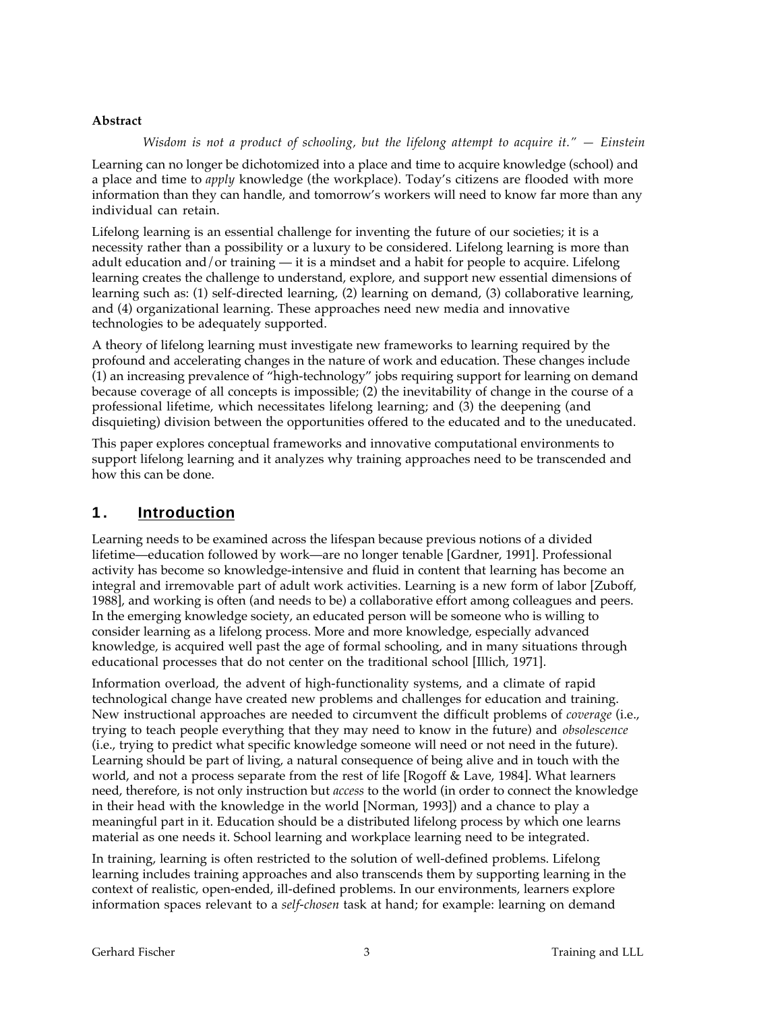#### **Abstract**

*Wisdom is not a product of schooling, but the lifelong attempt to acquire it." — Einstein*

Learning can no longer be dichotomized into a place and time to acquire knowledge (school) and a place and time to *apply* knowledge (the workplace). Today's citizens are flooded with more information than they can handle, and tomorrow's workers will need to know far more than any individual can retain.

Lifelong learning is an essential challenge for inventing the future of our societies; it is a necessity rather than a possibility or a luxury to be considered. Lifelong learning is more than adult education and/or training — it is a mindset and a habit for people to acquire. Lifelong learning creates the challenge to understand, explore, and support new essential dimensions of learning such as: (1) self-directed learning, (2) learning on demand, (3) collaborative learning, and (4) organizational learning. These approaches need new media and innovative technologies to be adequately supported.

A theory of lifelong learning must investigate new frameworks to learning required by the profound and accelerating changes in the nature of work and education. These changes include (1) an increasing prevalence of "high-technology" jobs requiring support for learning on demand because coverage of all concepts is impossible; (2) the inevitability of change in the course of a professional lifetime, which necessitates lifelong learning; and (3) the deepening (and disquieting) division between the opportunities offered to the educated and to the uneducated.

This paper explores conceptual frameworks and innovative computational environments to support lifelong learning and it analyzes why training approaches need to be transcended and how this can be done.

### **1 . Introduction**

Learning needs to be examined across the lifespan because previous notions of a divided lifetime—education followed by work—are no longer tenable [Gardner, 1991]. Professional activity has become so knowledge-intensive and fluid in content that learning has become an integral and irremovable part of adult work activities. Learning is a new form of labor [Zuboff, 1988], and working is often (and needs to be) a collaborative effort among colleagues and peers. In the emerging knowledge society, an educated person will be someone who is willing to consider learning as a lifelong process. More and more knowledge, especially advanced knowledge, is acquired well past the age of formal schooling, and in many situations through educational processes that do not center on the traditional school [Illich, 1971].

Information overload, the advent of high-functionality systems, and a climate of rapid technological change have created new problems and challenges for education and training. New instructional approaches are needed to circumvent the difficult problems of *coverage* (i.e., trying to teach people everything that they may need to know in the future) and *obsolescence* (i.e., trying to predict what specific knowledge someone will need or not need in the future). Learning should be part of living, a natural consequence of being alive and in touch with the world, and not a process separate from the rest of life [Rogoff & Lave, 1984]. What learners need, therefore, is not only instruction but *access* to the world (in order to connect the knowledge in their head with the knowledge in the world [Norman, 1993]) and a chance to play a meaningful part in it. Education should be a distributed lifelong process by which one learns material as one needs it. School learning and workplace learning need to be integrated.

In training, learning is often restricted to the solution of well-defined problems. Lifelong learning includes training approaches and also transcends them by supporting learning in the context of realistic, open-ended, ill-defined problems. In our environments, learners explore information spaces relevant to a *self-chosen* task at hand; for example: learning on demand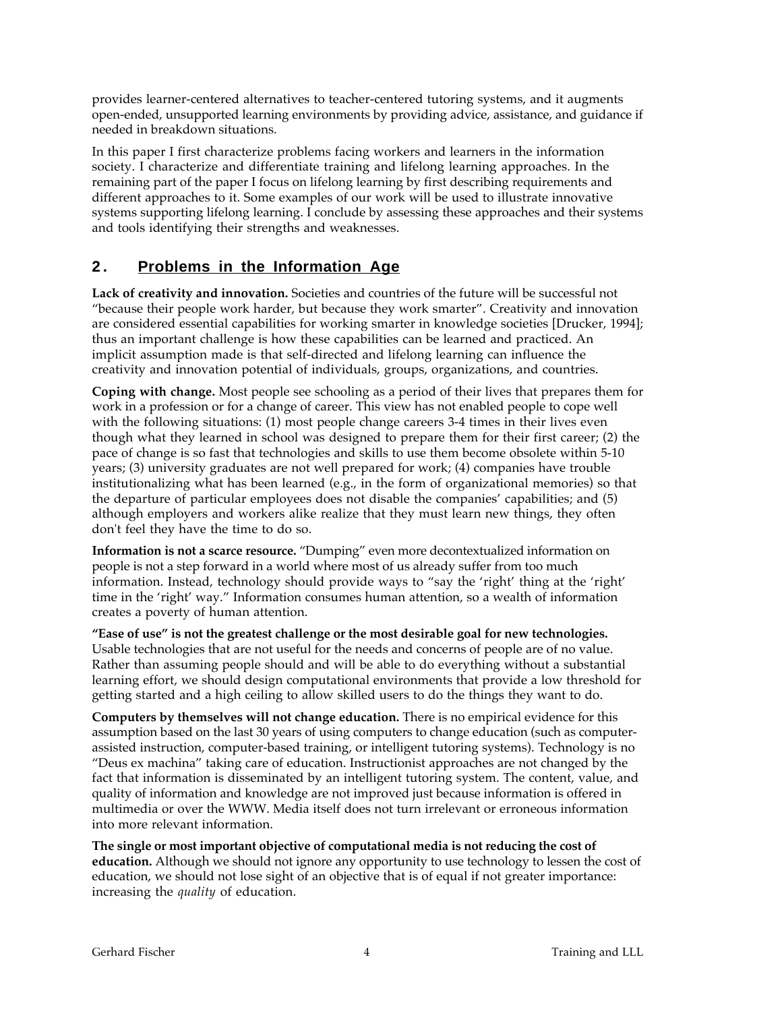provides learner-centered alternatives to teacher-centered tutoring systems, and it augments open-ended, unsupported learning environments by providing advice, assistance, and guidance if needed in breakdown situations.

In this paper I first characterize problems facing workers and learners in the information society. I characterize and differentiate training and lifelong learning approaches. In the remaining part of the paper I focus on lifelong learning by first describing requirements and different approaches to it. Some examples of our work will be used to illustrate innovative systems supporting lifelong learning. I conclude by assessing these approaches and their systems and tools identifying their strengths and weaknesses.

## **2 . Problems in the Information Age**

**Lack of creativity and innovation.** Societies and countries of the future will be successful not "because their people work harder, but because they work smarter". Creativity and innovation are considered essential capabilities for working smarter in knowledge societies [Drucker, 1994]; thus an important challenge is how these capabilities can be learned and practiced. An implicit assumption made is that self-directed and lifelong learning can influence the creativity and innovation potential of individuals, groups, organizations, and countries.

**Coping with change.** Most people see schooling as a period of their lives that prepares them for work in a profession or for a change of career. This view has not enabled people to cope well with the following situations: (1) most people change careers 3-4 times in their lives even though what they learned in school was designed to prepare them for their first career; (2) the pace of change is so fast that technologies and skills to use them become obsolete within 5-10 years; (3) university graduates are not well prepared for work; (4) companies have trouble institutionalizing what has been learned (e.g., in the form of organizational memories) so that the departure of particular employees does not disable the companies' capabilities; and (5) although employers and workers alike realize that they must learn new things, they often don't feel they have the time to do so.

**Information is not a scarce resource.** "Dumping" even more decontextualized information on people is not a step forward in a world where most of us already suffer from too much information. Instead, technology should provide ways to "say the 'right' thing at the 'right' time in the 'right' way." Information consumes human attention, so a wealth of information creates a poverty of human attention.

**"Ease of use" is not the greatest challenge or the most desirable goal for new technologies.** Usable technologies that are not useful for the needs and concerns of people are of no value. Rather than assuming people should and will be able to do everything without a substantial learning effort, we should design computational environments that provide a low threshold for getting started and a high ceiling to allow skilled users to do the things they want to do.

**Computers by themselves will not change education.** There is no empirical evidence for this assumption based on the last 30 years of using computers to change education (such as computerassisted instruction, computer-based training, or intelligent tutoring systems). Technology is no "Deus ex machina" taking care of education. Instructionist approaches are not changed by the fact that information is disseminated by an intelligent tutoring system. The content, value, and quality of information and knowledge are not improved just because information is offered in multimedia or over the WWW. Media itself does not turn irrelevant or erroneous information into more relevant information.

**The single or most important objective of computational media is not reducing the cost of education.** Although we should not ignore any opportunity to use technology to lessen the cost of education, we should not lose sight of an objective that is of equal if not greater importance: increasing the *quality* of education.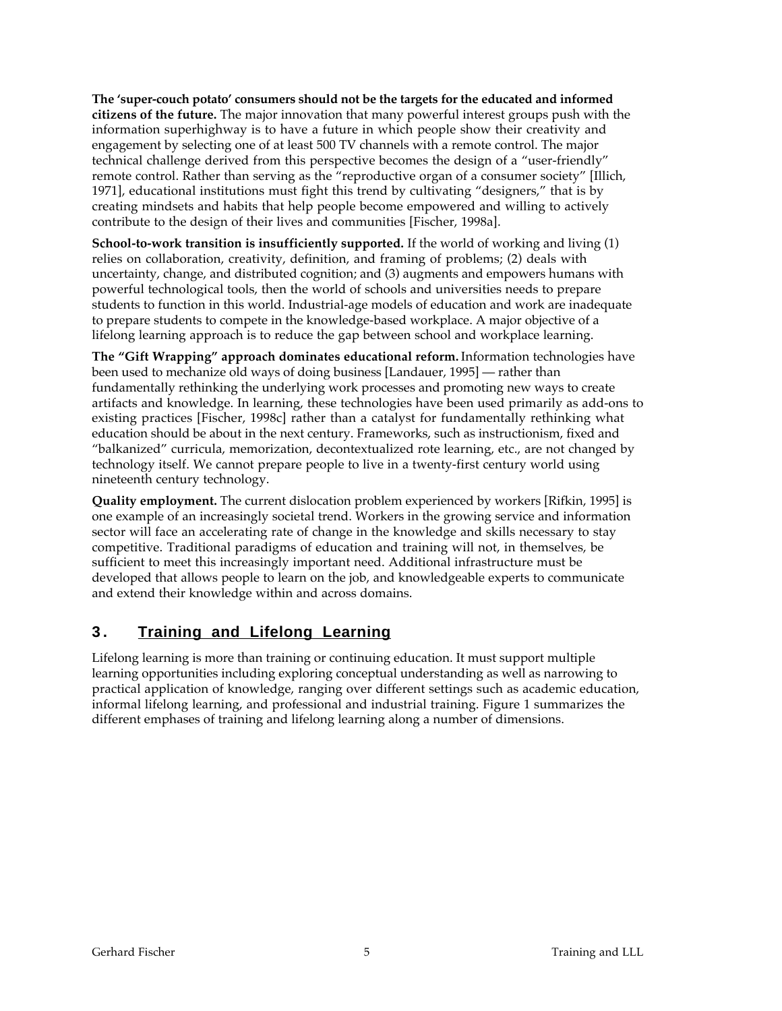**The 'super-couch potato' consumers should not be the targets for the educated and informed citizens of the future.** The major innovation that many powerful interest groups push with the information superhighway is to have a future in which people show their creativity and engagement by selecting one of at least 500 TV channels with a remote control. The major technical challenge derived from this perspective becomes the design of a "user-friendly" remote control. Rather than serving as the "reproductive organ of a consumer society" [Illich, 1971], educational institutions must fight this trend by cultivating "designers," that is by creating mindsets and habits that help people become empowered and willing to actively contribute to the design of their lives and communities [Fischer, 1998a].

**School-to-work transition is insufficiently supported.** If the world of working and living (1) relies on collaboration, creativity, definition, and framing of problems; (2) deals with uncertainty, change, and distributed cognition; and (3) augments and empowers humans with powerful technological tools, then the world of schools and universities needs to prepare students to function in this world. Industrial-age models of education and work are inadequate to prepare students to compete in the knowledge-based workplace. A major objective of a lifelong learning approach is to reduce the gap between school and workplace learning.

**The "Gift Wrapping" approach dominates educational reform.** Information technologies have been used to mechanize old ways of doing business [Landauer, 1995] — rather than fundamentally rethinking the underlying work processes and promoting new ways to create artifacts and knowledge. In learning, these technologies have been used primarily as add-ons to existing practices [Fischer, 1998c] rather than a catalyst for fundamentally rethinking what education should be about in the next century. Frameworks, such as instructionism, fixed and "balkanized" curricula, memorization, decontextualized rote learning, etc., are not changed by technology itself. We cannot prepare people to live in a twenty-first century world using nineteenth century technology.

**Quality employment.** The current dislocation problem experienced by workers [Rifkin, 1995] is one example of an increasingly societal trend. Workers in the growing service and information sector will face an accelerating rate of change in the knowledge and skills necessary to stay competitive. Traditional paradigms of education and training will not, in themselves, be sufficient to meet this increasingly important need. Additional infrastructure must be developed that allows people to learn on the job, and knowledgeable experts to communicate and extend their knowledge within and across domains.

# **3 . Training and Lifelong Learning**

Lifelong learning is more than training or continuing education. It must support multiple learning opportunities including exploring conceptual understanding as well as narrowing to practical application of knowledge, ranging over different settings such as academic education, informal lifelong learning, and professional and industrial training. Figure 1 summarizes the different emphases of training and lifelong learning along a number of dimensions.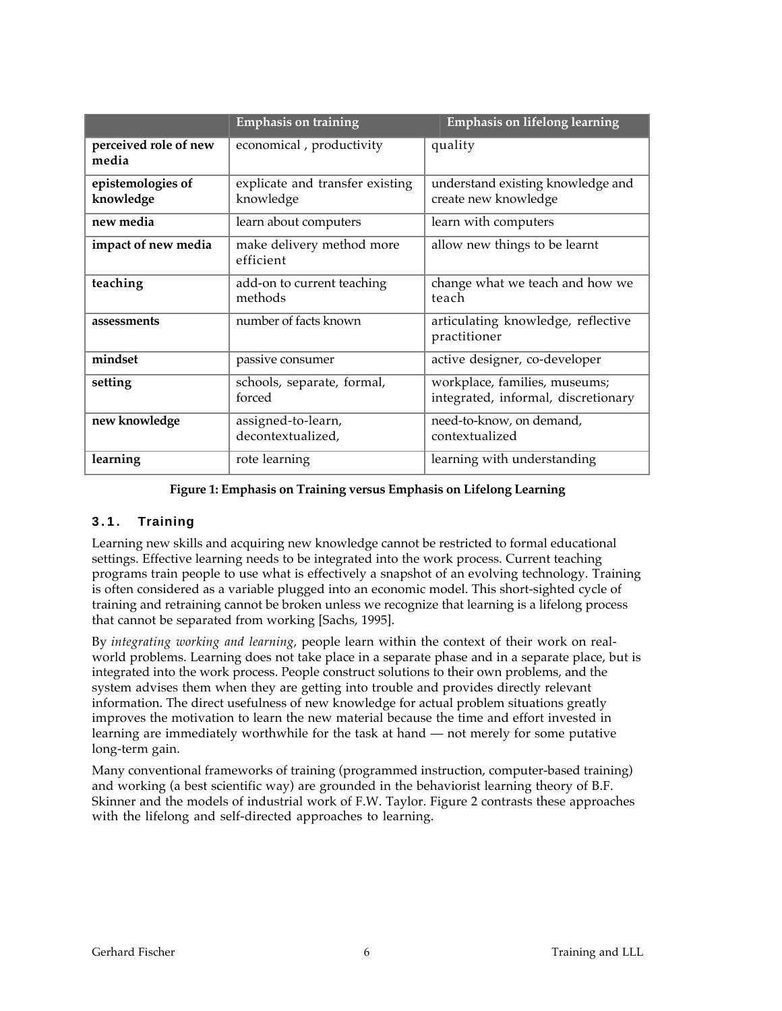|                                | <b>Emphasis on training</b>                  | Emphasis on lifelong learning                                        |
|--------------------------------|----------------------------------------------|----------------------------------------------------------------------|
| perceived role of new<br>media | economical, productivity                     | quality                                                              |
| epistemologies of<br>knowledge | explicate and transfer existing<br>knowledge | understand existing knowledge and<br>create new knowledge            |
| new media                      | learn about computers                        | learn with computers                                                 |
| impact of new media            | make delivery method more<br>efficient       | allow new things to be learnt                                        |
| teaching                       | add-on to current teaching<br>methods        | change what we teach and how we<br>teach                             |
| assessments                    | number of facts known                        | articulating knowledge, reflective<br>practitioner                   |
| mindset                        | passive consumer                             | active designer, co-developer                                        |
| setting                        | schools, separate, formal,<br>forced         | workplace, families, museums;<br>integrated, informal, discretionary |
| new knowledge                  | assigned-to-learn,<br>decontextualized,      | need-to-know, on demand,<br>contextualized                           |
| learning                       | rote learning                                | learning with understanding                                          |

#### **Figure 1: Emphasis on Training versus Emphasis on Lifelong Learning**

#### **3.1. Training**

Learning new skills and acquiring new knowledge cannot be restricted to formal educational settings. Effective learning needs to be integrated into the work process. Current teaching programs train people to use what is effectively a snapshot of an evolving technology. Training is often considered as a variable plugged into an economic model. This short-sighted cycle of training and retraining cannot be broken unless we recognize that learning is a lifelong process that cannot be separated from working [Sachs, 1995].

By *integrating working and learning*, people learn within the context of their work on realworld problems. Learning does not take place in a separate phase and in a separate place, but is integrated into the work process. People construct solutions to their own problems, and the system advises them when they are getting into trouble and provides directly relevant information. The direct usefulness of new knowledge for actual problem situations greatly improves the motivation to learn the new material because the time and effort invested in learning are immediately worthwhile for the task at hand — not merely for some putative long-term gain.

Many conventional frameworks of training (programmed instruction, computer-based training) and working (a best scientific way) are grounded in the behaviorist learning theory of B.F. Skinner and the models of industrial work of F.W. Taylor. Figure 2 contrasts these approaches with the lifelong and self-directed approaches to learning.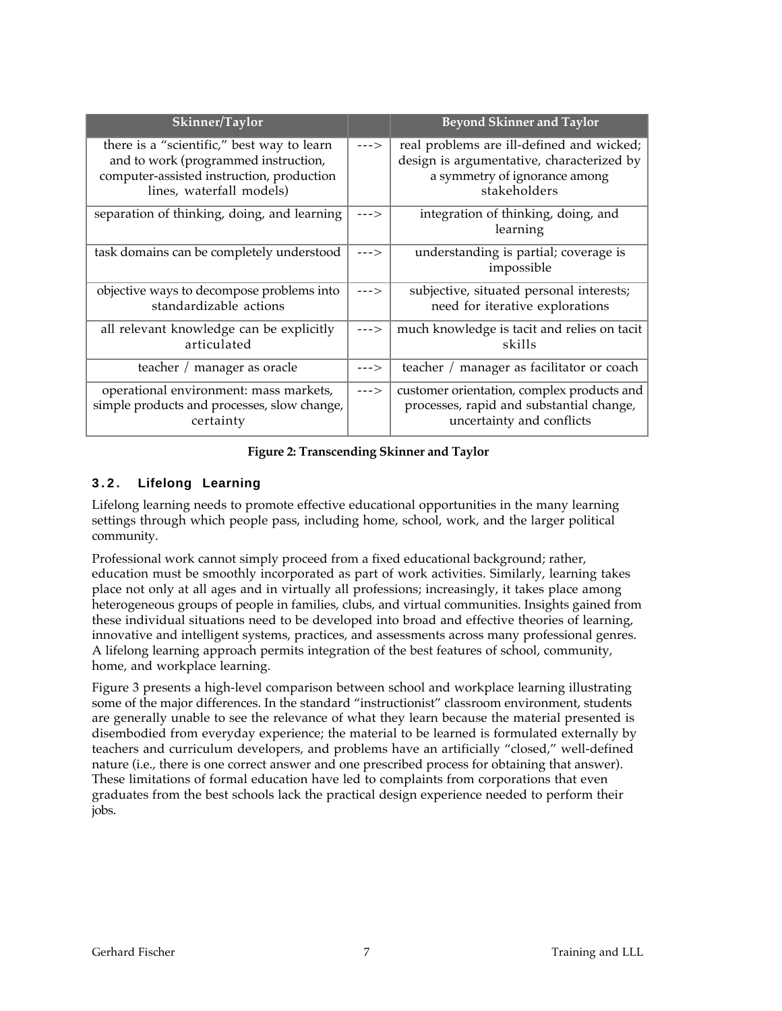| Skinner/Taylor                                                                                                                                              |        | <b>Beyond Skinner and Taylor</b>                                                                                                        |
|-------------------------------------------------------------------------------------------------------------------------------------------------------------|--------|-----------------------------------------------------------------------------------------------------------------------------------------|
| there is a "scientific," best way to learn<br>and to work (programmed instruction,<br>computer-assisted instruction, production<br>lines, waterfall models) | $---$  | real problems are ill-defined and wicked;<br>design is argumentative, characterized by<br>a symmetry of ignorance among<br>stakeholders |
| separation of thinking, doing, and learning                                                                                                                 | --->   | integration of thinking, doing, and<br>learning                                                                                         |
| task domains can be completely understood                                                                                                                   | $---$  | understanding is partial; coverage is<br>impossible                                                                                     |
| objective ways to decompose problems into<br>standardizable actions                                                                                         | $--->$ | subjective, situated personal interests;<br>need for iterative explorations                                                             |
| all relevant knowledge can be explicitly<br>articulated                                                                                                     | $---2$ | much knowledge is tacit and relies on tacit<br>skills                                                                                   |
| teacher / manager as oracle                                                                                                                                 | $---$  | teacher / manager as facilitator or coach                                                                                               |
| operational environment: mass markets,<br>simple products and processes, slow change,<br>certainty                                                          | $---$  | customer orientation, complex products and<br>processes, rapid and substantial change,<br>uncertainty and conflicts                     |

**Figure 2: Transcending Skinner and Taylor**

### **3.2. Lifelong Learning**

Lifelong learning needs to promote effective educational opportunities in the many learning settings through which people pass, including home, school, work, and the larger political community.

Professional work cannot simply proceed from a fixed educational background; rather, education must be smoothly incorporated as part of work activities. Similarly, learning takes place not only at all ages and in virtually all professions; increasingly, it takes place among heterogeneous groups of people in families, clubs, and virtual communities. Insights gained from these individual situations need to be developed into broad and effective theories of learning, innovative and intelligent systems, practices, and assessments across many professional genres. A lifelong learning approach permits integration of the best features of school, community, home, and workplace learning.

Figure 3 presents a high-level comparison between school and workplace learning illustrating some of the major differences. In the standard "instructionist" classroom environment, students are generally unable to see the relevance of what they learn because the material presented is disembodied from everyday experience; the material to be learned is formulated externally by teachers and curriculum developers, and problems have an artificially "closed," well-defined nature (i.e., there is one correct answer and one prescribed process for obtaining that answer). These limitations of formal education have led to complaints from corporations that even graduates from the best schools lack the practical design experience needed to perform their jobs.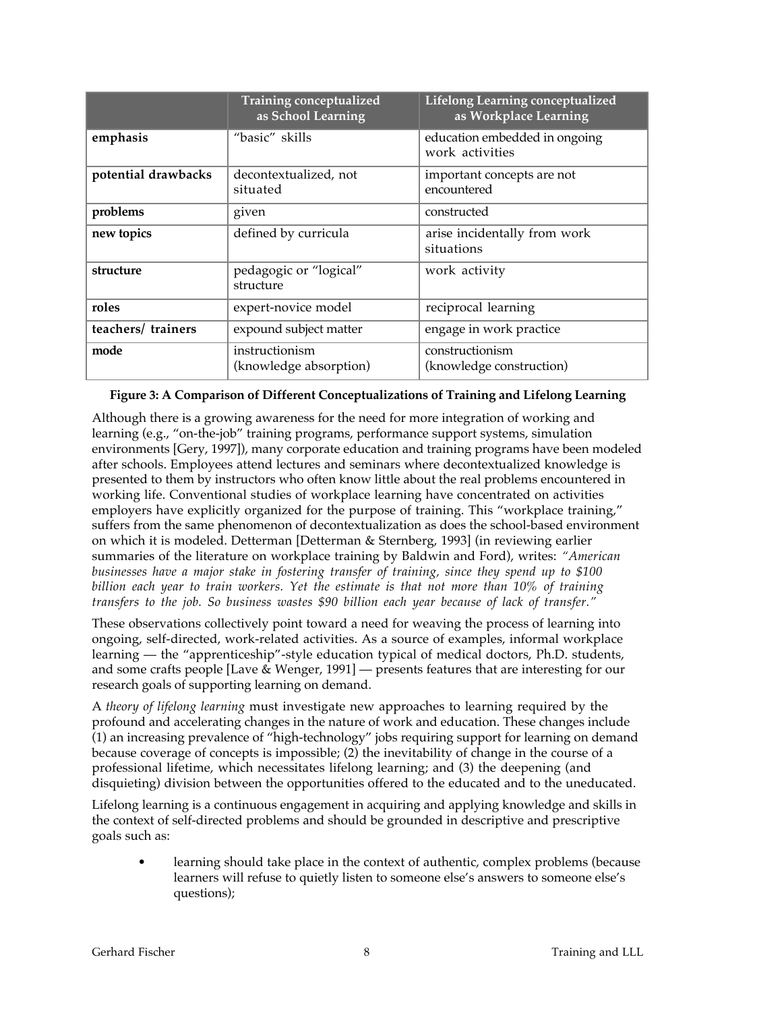|                     | <b>Training conceptualized</b><br>as School Learning | Lifelong Learning conceptualized<br>as Workplace Learning |
|---------------------|------------------------------------------------------|-----------------------------------------------------------|
| emphasis            | "basic" skills                                       | education embedded in ongoing<br>work activities          |
| potential drawbacks | decontextualized, not<br>situated                    | important concepts are not<br>encountered                 |
| problems            | given                                                | constructed                                               |
| new topics          | defined by curricula                                 | arise incidentally from work<br>situations                |
| structure           | pedagogic or "logical"<br>structure                  | work activity                                             |
| roles               | expert-novice model                                  | reciprocal learning                                       |
| teachers/ trainers  | expound subject matter                               | engage in work practice                                   |
| mode                | instructionism<br>(knowledge absorption)             | constructionism<br>(knowledge construction)               |

#### **Figure 3: A Comparison of Different Conceptualizations of Training and Lifelong Learning**

Although there is a growing awareness for the need for more integration of working and learning (e.g., "on-the-job" training programs, performance support systems, simulation environments [Gery, 1997]), many corporate education and training programs have been modeled after schools. Employees attend lectures and seminars where decontextualized knowledge is presented to them by instructors who often know little about the real problems encountered in working life. Conventional studies of workplace learning have concentrated on activities employers have explicitly organized for the purpose of training. This "workplace training," suffers from the same phenomenon of decontextualization as does the school-based environment on which it is modeled. Detterman [Detterman & Sternberg, 1993] (in reviewing earlier summaries of the literature on workplace training by Baldwin and Ford), writes: *"American businesses have a major stake in fostering transfer of training, since they spend up to \$100 billion each year to train workers. Yet the estimate is that not more than 10% of training transfers to the job. So business wastes \$90 billion each year because of lack of transfer."*

These observations collectively point toward a need for weaving the process of learning into ongoing, self-directed, work-related activities. As a source of examples, informal workplace learning — the "apprenticeship"-style education typical of medical doctors, Ph.D. students, and some crafts people [Lave & Wenger, 1991] — presents features that are interesting for our research goals of supporting learning on demand.

A *theory of lifelong learning* must investigate new approaches to learning required by the profound and accelerating changes in the nature of work and education. These changes include (1) an increasing prevalence of "high-technology" jobs requiring support for learning on demand because coverage of concepts is impossible; (2) the inevitability of change in the course of a professional lifetime, which necessitates lifelong learning; and (3) the deepening (and disquieting) division between the opportunities offered to the educated and to the uneducated.

Lifelong learning is a continuous engagement in acquiring and applying knowledge and skills in the context of self-directed problems and should be grounded in descriptive and prescriptive goals such as:

learning should take place in the context of authentic, complex problems (because learners will refuse to quietly listen to someone else's answers to someone else's questions);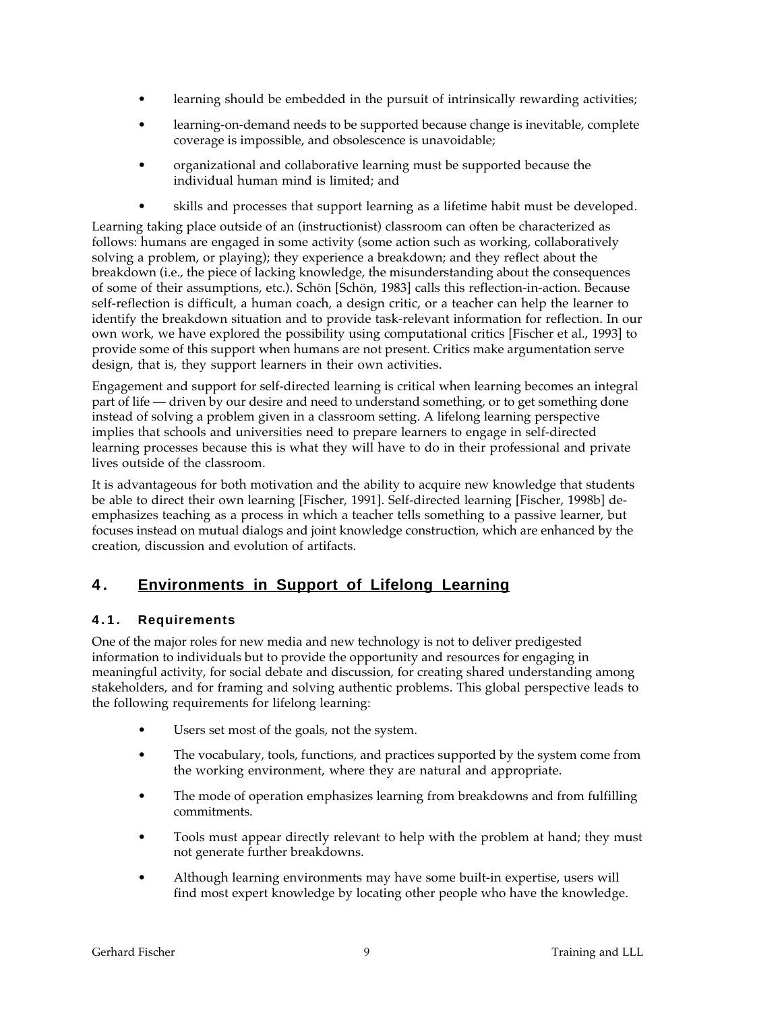- learning should be embedded in the pursuit of intrinsically rewarding activities;
- learning-on-demand needs to be supported because change is inevitable, complete coverage is impossible, and obsolescence is unavoidable;
- organizational and collaborative learning must be supported because the individual human mind is limited; and
- skills and processes that support learning as a lifetime habit must be developed.

Learning taking place outside of an (instructionist) classroom can often be characterized as follows: humans are engaged in some activity (some action such as working, collaboratively solving a problem, or playing); they experience a breakdown; and they reflect about the breakdown (i.e., the piece of lacking knowledge, the misunderstanding about the consequences of some of their assumptions, etc.). Schön [Schön, 1983] calls this reflection-in-action. Because self-reflection is difficult, a human coach, a design critic, or a teacher can help the learner to identify the breakdown situation and to provide task-relevant information for reflection. In our own work, we have explored the possibility using computational critics [Fischer et al., 1993] to provide some of this support when humans are not present. Critics make argumentation serve design, that is, they support learners in their own activities.

Engagement and support for self-directed learning is critical when learning becomes an integral part of life — driven by our desire and need to understand something, or to get something done instead of solving a problem given in a classroom setting. A lifelong learning perspective implies that schools and universities need to prepare learners to engage in self-directed learning processes because this is what they will have to do in their professional and private lives outside of the classroom.

It is advantageous for both motivation and the ability to acquire new knowledge that students be able to direct their own learning [Fischer, 1991]. Self-directed learning [Fischer, 1998b] deemphasizes teaching as a process in which a teacher tells something to a passive learner, but focuses instead on mutual dialogs and joint knowledge construction, which are enhanced by the creation, discussion and evolution of artifacts.

# **4 . Environments in Support of Lifelong Learning**

### **4.1. Requirements**

One of the major roles for new media and new technology is not to deliver predigested information to individuals but to provide the opportunity and resources for engaging in meaningful activity, for social debate and discussion, for creating shared understanding among stakeholders, and for framing and solving authentic problems. This global perspective leads to the following requirements for lifelong learning:

- Users set most of the goals, not the system.
- The vocabulary, tools, functions, and practices supported by the system come from the working environment, where they are natural and appropriate.
- The mode of operation emphasizes learning from breakdowns and from fulfilling commitments.
- Tools must appear directly relevant to help with the problem at hand; they must not generate further breakdowns.
- Although learning environments may have some built-in expertise, users will find most expert knowledge by locating other people who have the knowledge.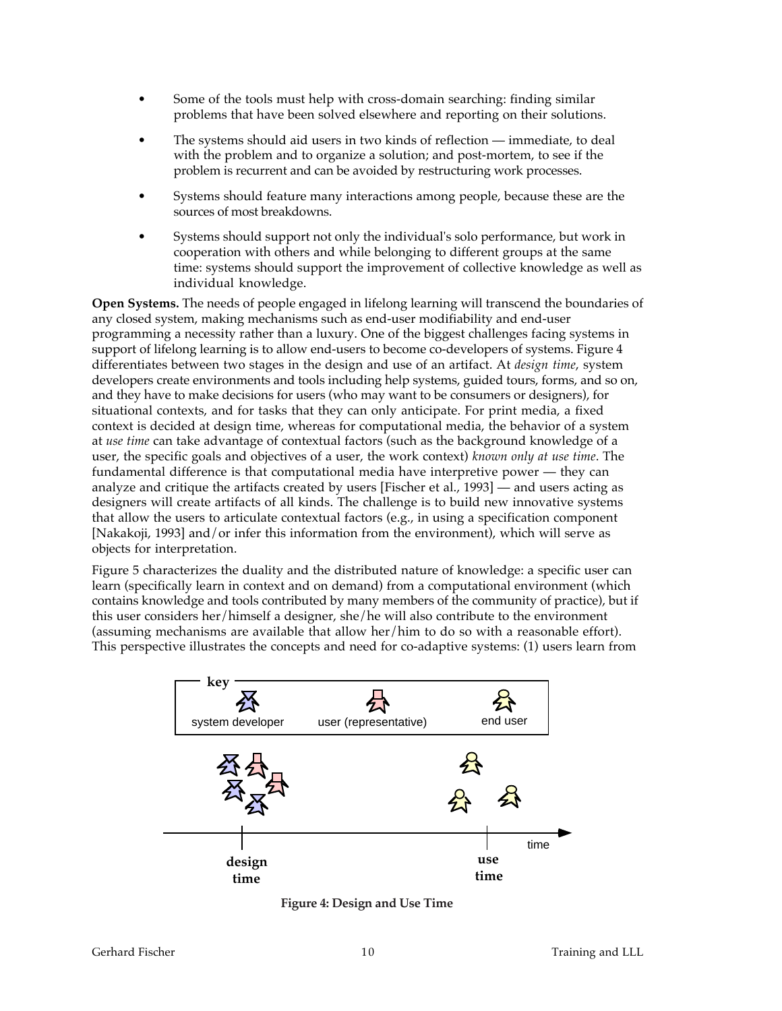- Some of the tools must help with cross-domain searching: finding similar problems that have been solved elsewhere and reporting on their solutions.
- The systems should aid users in two kinds of reflection immediate, to deal with the problem and to organize a solution; and post-mortem, to see if the problem is recurrent and can be avoided by restructuring work processes.
- Systems should feature many interactions among people, because these are the sources of most breakdowns.
- Systems should support not only the individual's solo performance, but work in cooperation with others and while belonging to different groups at the same time: systems should support the improvement of collective knowledge as well as individual knowledge.

**Open Systems.** The needs of people engaged in lifelong learning will transcend the boundaries of any closed system, making mechanisms such as end-user modifiability and end-user programming a necessity rather than a luxury. One of the biggest challenges facing systems in support of lifelong learning is to allow end-users to become co-developers of systems. Figure 4 differentiates between two stages in the design and use of an artifact. At *design time*, system developers create environments and tools including help systems, guided tours, forms, and so on, and they have to make decisions for users (who may want to be consumers or designers), for situational contexts, and for tasks that they can only anticipate. For print media, a fixed context is decided at design time, whereas for computational media, the behavior of a system at *use time* can take advantage of contextual factors (such as the background knowledge of a user, the specific goals and objectives of a user, the work context) *known only at use time*. The fundamental difference is that computational media have interpretive power — they can analyze and critique the artifacts created by users [Fischer et al., 1993] — and users acting as designers will create artifacts of all kinds. The challenge is to build new innovative systems that allow the users to articulate contextual factors (e.g., in using a specification component [Nakakoji, 1993] and/or infer this information from the environment), which will serve as objects for interpretation.

Figure 5 characterizes the duality and the distributed nature of knowledge: a specific user can learn (specifically learn in context and on demand) from a computational environment (which contains knowledge and tools contributed by many members of the community of practice), but if this user considers her/himself a designer, she/he will also contribute to the environment (assuming mechanisms are available that allow her/him to do so with a reasonable effort). This perspective illustrates the concepts and need for co-adaptive systems: (1) users learn from



**Figure 4: Design and Use Time**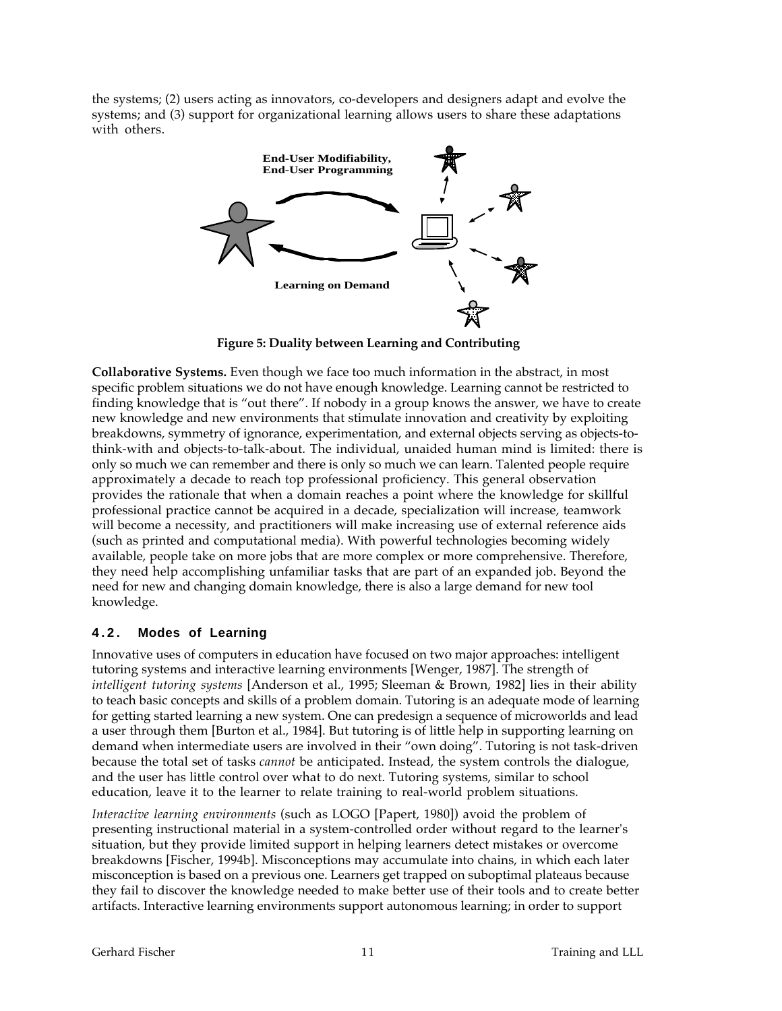the systems; (2) users acting as innovators, co-developers and designers adapt and evolve the systems; and (3) support for organizational learning allows users to share these adaptations with others.



**Figure 5: Duality between Learning and Contributing**

**Collaborative Systems.** Even though we face too much information in the abstract, in most specific problem situations we do not have enough knowledge. Learning cannot be restricted to finding knowledge that is "out there". If nobody in a group knows the answer, we have to create new knowledge and new environments that stimulate innovation and creativity by exploiting breakdowns, symmetry of ignorance, experimentation, and external objects serving as objects-tothink-with and objects-to-talk-about. The individual, unaided human mind is limited: there is only so much we can remember and there is only so much we can learn. Talented people require approximately a decade to reach top professional proficiency. This general observation provides the rationale that when a domain reaches a point where the knowledge for skillful professional practice cannot be acquired in a decade, specialization will increase, teamwork will become a necessity, and practitioners will make increasing use of external reference aids (such as printed and computational media). With powerful technologies becoming widely available, people take on more jobs that are more complex or more comprehensive. Therefore, they need help accomplishing unfamiliar tasks that are part of an expanded job. Beyond the need for new and changing domain knowledge, there is also a large demand for new tool knowledge.

### **4.2. Modes of Learning**

Innovative uses of computers in education have focused on two major approaches: intelligent tutoring systems and interactive learning environments [Wenger, 1987]. The strength of *intelligent tutoring systems* [Anderson et al., 1995; Sleeman & Brown, 1982] lies in their ability to teach basic concepts and skills of a problem domain. Tutoring is an adequate mode of learning for getting started learning a new system. One can predesign a sequence of microworlds and lead a user through them [Burton et al., 1984]. But tutoring is of little help in supporting learning on demand when intermediate users are involved in their "own doing". Tutoring is not task-driven because the total set of tasks *cannot* be anticipated. Instead, the system controls the dialogue, and the user has little control over what to do next. Tutoring systems, similar to school education, leave it to the learner to relate training to real-world problem situations.

*Interactive learning environments* (such as LOGO [Papert, 1980]) avoid the problem of presenting instructional material in a system-controlled order without regard to the learner's situation, but they provide limited support in helping learners detect mistakes or overcome breakdowns [Fischer, 1994b]. Misconceptions may accumulate into chains, in which each later misconception is based on a previous one. Learners get trapped on suboptimal plateaus because they fail to discover the knowledge needed to make better use of their tools and to create better artifacts. Interactive learning environments support autonomous learning; in order to support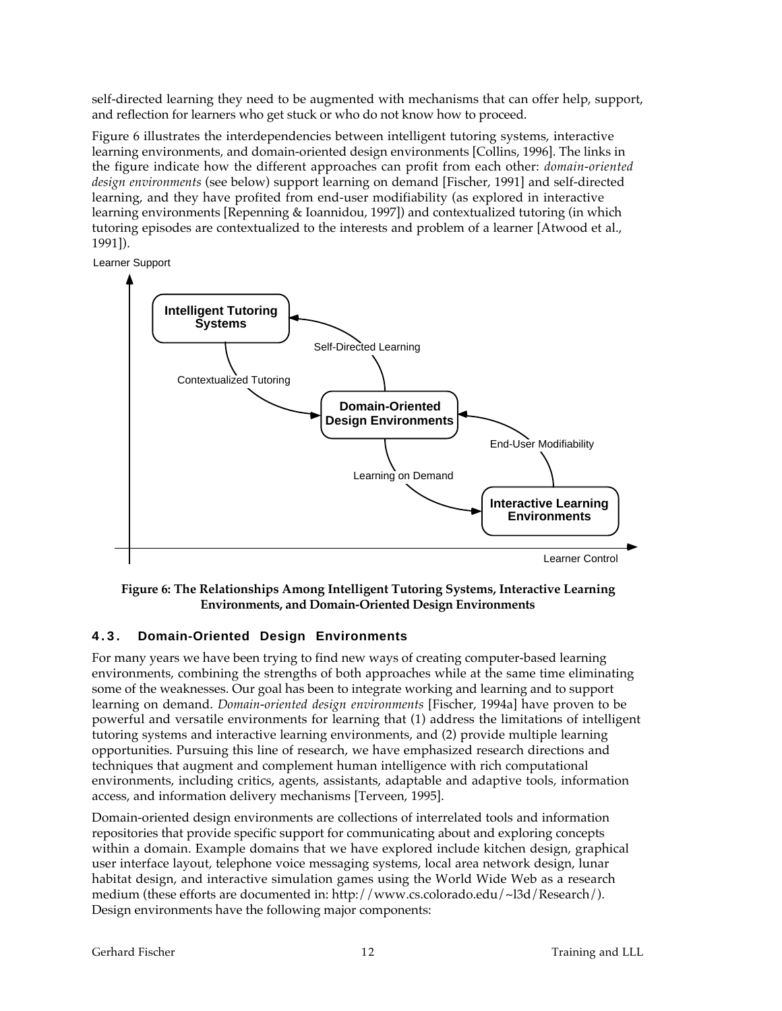self-directed learning they need to be augmented with mechanisms that can offer help, support, and reflection for learners who get stuck or who do not know how to proceed.

Figure 6 illustrates the interdependencies between intelligent tutoring systems, interactive learning environments, and domain-oriented design environments [Collins, 1996]. The links in the figure indicate how the different approaches can profit from each other: *domain-oriented design environments* (see below) support learning on demand [Fischer, 1991] and self-directed learning, and they have profited from end-user modifiability (as explored in interactive learning environments [Repenning & Ioannidou, 1997]) and contextualized tutoring (in which tutoring episodes are contextualized to the interests and problem of a learner [Atwood et al., 1991]).

Learner Support



**Figure 6: The Relationships Among Intelligent Tutoring Systems, Interactive Learning Environments, and Domain-Oriented Design Environments**

### **4.3. Domain-Oriented Design Environments**

For many years we have been trying to find new ways of creating computer-based learning environments, combining the strengths of both approaches while at the same time eliminating some of the weaknesses. Our goal has been to integrate working and learning and to support learning on demand. *Domain-oriented design environments* [Fischer, 1994a] have proven to be powerful and versatile environments for learning that (1) address the limitations of intelligent tutoring systems and interactive learning environments, and (2) provide multiple learning opportunities. Pursuing this line of research, we have emphasized research directions and techniques that augment and complement human intelligence with rich computational environments, including critics, agents, assistants, adaptable and adaptive tools, information access, and information delivery mechanisms [Terveen, 1995].

Domain-oriented design environments are collections of interrelated tools and information repositories that provide specific support for communicating about and exploring concepts within a domain. Example domains that we have explored include kitchen design, graphical user interface layout, telephone voice messaging systems, local area network design, lunar habitat design, and interactive simulation games using the World Wide Web as a research medium (these efforts are documented in: http://www.cs.colorado.edu/~l3d/Research/). Design environments have the following major components: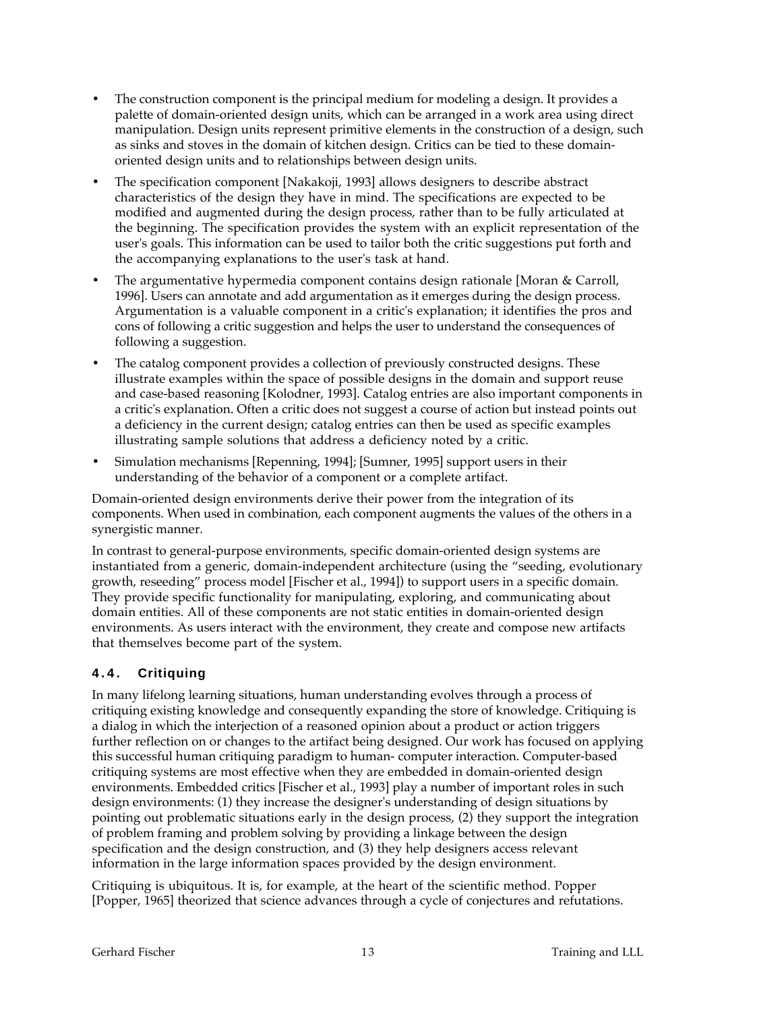- The construction component is the principal medium for modeling a design. It provides a palette of domain-oriented design units, which can be arranged in a work area using direct manipulation. Design units represent primitive elements in the construction of a design, such as sinks and stoves in the domain of kitchen design. Critics can be tied to these domainoriented design units and to relationships between design units.
- The specification component [Nakakoji, 1993] allows designers to describe abstract characteristics of the design they have in mind. The specifications are expected to be modified and augmented during the design process, rather than to be fully articulated at the beginning. The specification provides the system with an explicit representation of the user's goals. This information can be used to tailor both the critic suggestions put forth and the accompanying explanations to the user's task at hand.
- The argumentative hypermedia component contains design rationale [Moran & Carroll, 1996]. Users can annotate and add argumentation as it emerges during the design process. Argumentation is a valuable component in a critic's explanation; it identifies the pros and cons of following a critic suggestion and helps the user to understand the consequences of following a suggestion.
- The catalog component provides a collection of previously constructed designs. These illustrate examples within the space of possible designs in the domain and support reuse and case-based reasoning [Kolodner, 1993]. Catalog entries are also important components in a critic's explanation. Often a critic does not suggest a course of action but instead points out a deficiency in the current design; catalog entries can then be used as specific examples illustrating sample solutions that address a deficiency noted by a critic.
- Simulation mechanisms [Repenning, 1994]; [Sumner, 1995] support users in their understanding of the behavior of a component or a complete artifact.

Domain-oriented design environments derive their power from the integration of its components. When used in combination, each component augments the values of the others in a synergistic manner.

In contrast to general-purpose environments, specific domain-oriented design systems are instantiated from a generic, domain-independent architecture (using the "seeding, evolutionary growth, reseeding" process model [Fischer et al., 1994]) to support users in a specific domain. They provide specific functionality for manipulating, exploring, and communicating about domain entities. All of these components are not static entities in domain-oriented design environments. As users interact with the environment, they create and compose new artifacts that themselves become part of the system.

### **4.4. Critiquing**

In many lifelong learning situations, human understanding evolves through a process of critiquing existing knowledge and consequently expanding the store of knowledge. Critiquing is a dialog in which the interjection of a reasoned opinion about a product or action triggers further reflection on or changes to the artifact being designed. Our work has focused on applying this successful human critiquing paradigm to human- computer interaction. Computer-based critiquing systems are most effective when they are embedded in domain-oriented design environments. Embedded critics [Fischer et al., 1993] play a number of important roles in such design environments: (1) they increase the designer's understanding of design situations by pointing out problematic situations early in the design process, (2) they support the integration of problem framing and problem solving by providing a linkage between the design specification and the design construction, and (3) they help designers access relevant information in the large information spaces provided by the design environment.

Critiquing is ubiquitous. It is, for example, at the heart of the scientific method. Popper [Popper, 1965] theorized that science advances through a cycle of conjectures and refutations.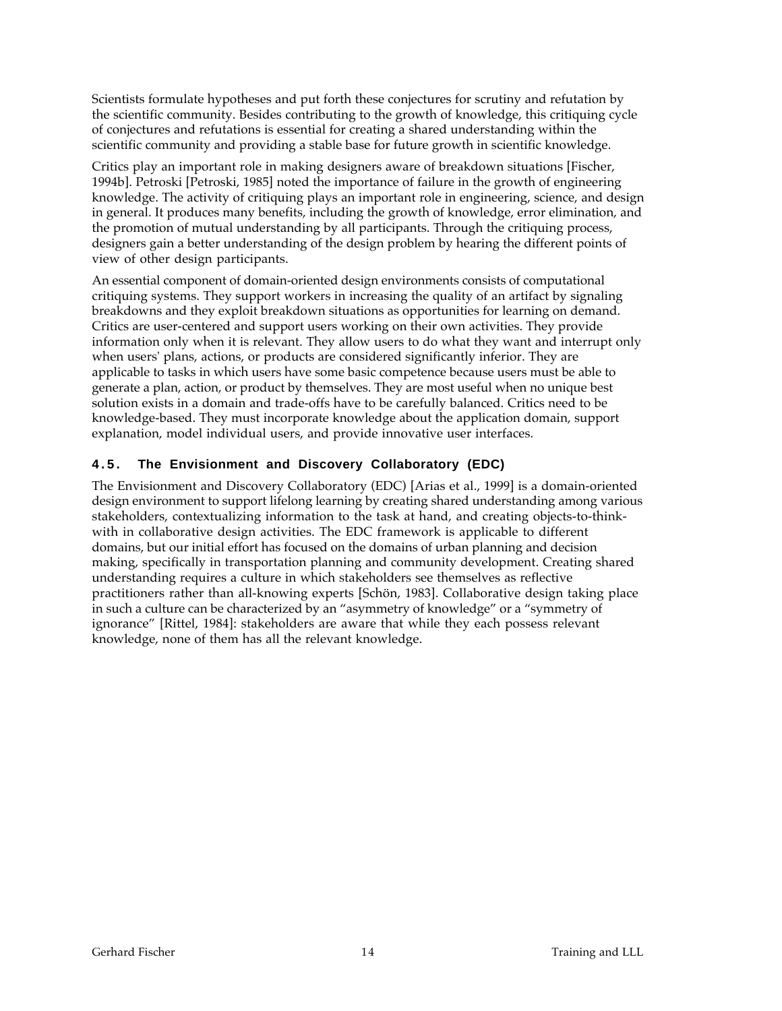Scientists formulate hypotheses and put forth these conjectures for scrutiny and refutation by the scientific community. Besides contributing to the growth of knowledge, this critiquing cycle of conjectures and refutations is essential for creating a shared understanding within the scientific community and providing a stable base for future growth in scientific knowledge.

Critics play an important role in making designers aware of breakdown situations [Fischer, 1994b]. Petroski [Petroski, 1985] noted the importance of failure in the growth of engineering knowledge. The activity of critiquing plays an important role in engineering, science, and design in general. It produces many benefits, including the growth of knowledge, error elimination, and the promotion of mutual understanding by all participants. Through the critiquing process, designers gain a better understanding of the design problem by hearing the different points of view of other design participants.

An essential component of domain-oriented design environments consists of computational critiquing systems. They support workers in increasing the quality of an artifact by signaling breakdowns and they exploit breakdown situations as opportunities for learning on demand. Critics are user-centered and support users working on their own activities. They provide information only when it is relevant. They allow users to do what they want and interrupt only when users' plans, actions, or products are considered significantly inferior. They are applicable to tasks in which users have some basic competence because users must be able to generate a plan, action, or product by themselves. They are most useful when no unique best solution exists in a domain and trade-offs have to be carefully balanced. Critics need to be knowledge-based. They must incorporate knowledge about the application domain, support explanation, model individual users, and provide innovative user interfaces.

### **4.5. The Envisionment and Discovery Collaboratory (EDC)**

The Envisionment and Discovery Collaboratory (EDC) [Arias et al., 1999] is a domain-oriented design environment to support lifelong learning by creating shared understanding among various stakeholders, contextualizing information to the task at hand, and creating objects-to-thinkwith in collaborative design activities. The EDC framework is applicable to different domains, but our initial effort has focused on the domains of urban planning and decision making, specifically in transportation planning and community development. Creating shared understanding requires a culture in which stakeholders see themselves as reflective practitioners rather than all-knowing experts [Schön, 1983]. Collaborative design taking place in such a culture can be characterized by an "asymmetry of knowledge" or a "symmetry of ignorance" [Rittel, 1984]: stakeholders are aware that while they each possess relevant knowledge, none of them has all the relevant knowledge.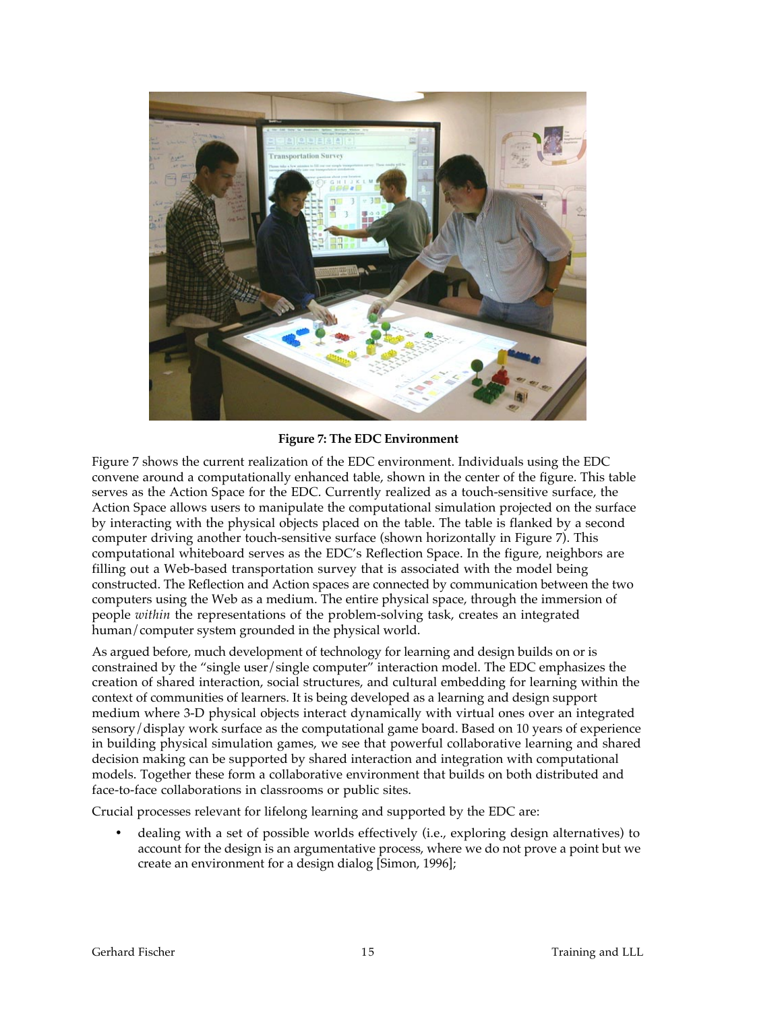

#### **Figure 7: The EDC Environment**

Figure 7 shows the current realization of the EDC environment. Individuals using the EDC convene around a computationally enhanced table, shown in the center of the figure. This table serves as the Action Space for the EDC. Currently realized as a touch-sensitive surface, the Action Space allows users to manipulate the computational simulation projected on the surface by interacting with the physical objects placed on the table. The table is flanked by a second computer driving another touch-sensitive surface (shown horizontally in Figure 7). This computational whiteboard serves as the EDC's Reflection Space. In the figure, neighbors are filling out a Web-based transportation survey that is associated with the model being constructed. The Reflection and Action spaces are connected by communication between the two computers using the Web as a medium. The entire physical space, through the immersion of people *within* the representations of the problem-solving task, creates an integrated human/computer system grounded in the physical world.

As argued before, much development of technology for learning and design builds on or is constrained by the "single user/single computer" interaction model. The EDC emphasizes the creation of shared interaction, social structures, and cultural embedding for learning within the context of communities of learners. It is being developed as a learning and design support medium where 3-D physical objects interact dynamically with virtual ones over an integrated sensory/display work surface as the computational game board. Based on 10 years of experience in building physical simulation games, we see that powerful collaborative learning and shared decision making can be supported by shared interaction and integration with computational models. Together these form a collaborative environment that builds on both distributed and face-to-face collaborations in classrooms or public sites.

Crucial processes relevant for lifelong learning and supported by the EDC are:

• dealing with a set of possible worlds effectively (i.e., exploring design alternatives) to account for the design is an argumentative process, where we do not prove a point but we create an environment for a design dialog [Simon, 1996];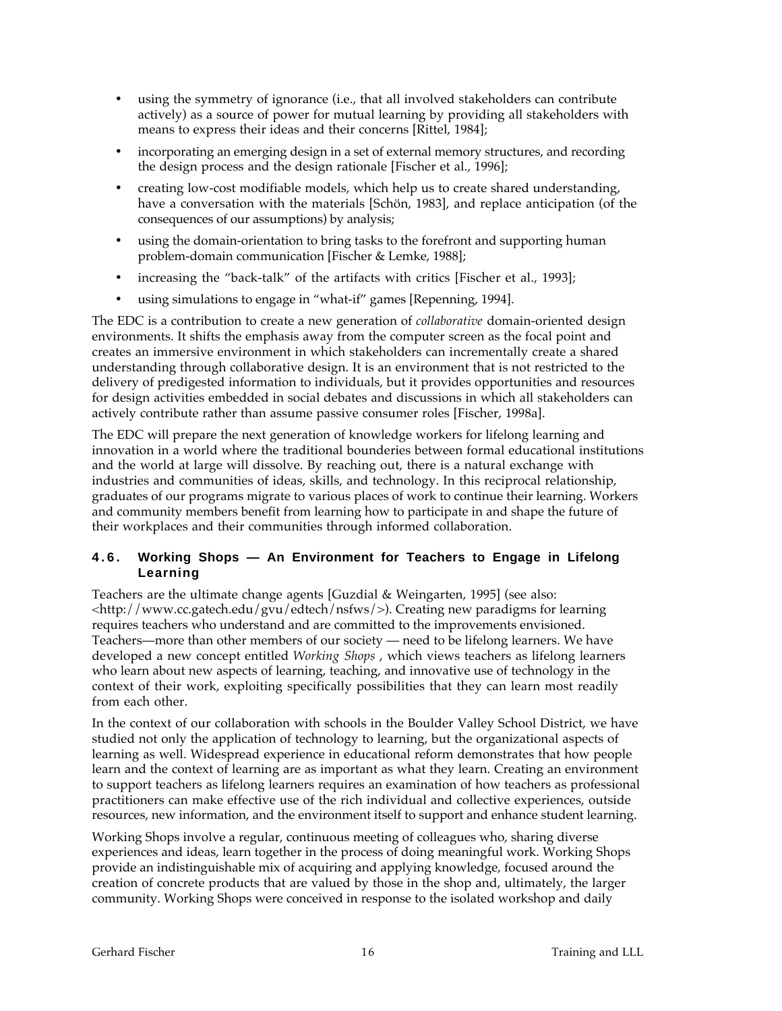- using the symmetry of ignorance (i.e., that all involved stakeholders can contribute actively) as a source of power for mutual learning by providing all stakeholders with means to express their ideas and their concerns [Rittel, 1984];
- incorporating an emerging design in a set of external memory structures, and recording the design process and the design rationale [Fischer et al., 1996];
- creating low-cost modifiable models, which help us to create shared understanding, have a conversation with the materials [Schön, 1983], and replace anticipation (of the consequences of our assumptions) by analysis;
- using the domain-orientation to bring tasks to the forefront and supporting human problem-domain communication [Fischer & Lemke, 1988];
- increasing the "back-talk" of the artifacts with critics [Fischer et al., 1993];
- using simulations to engage in "what-if" games [Repenning, 1994].

The EDC is a contribution to create a new generation of *collaborative* domain-oriented design environments. It shifts the emphasis away from the computer screen as the focal point and creates an immersive environment in which stakeholders can incrementally create a shared understanding through collaborative design. It is an environment that is not restricted to the delivery of predigested information to individuals, but it provides opportunities and resources for design activities embedded in social debates and discussions in which all stakeholders can actively contribute rather than assume passive consumer roles [Fischer, 1998a].

The EDC will prepare the next generation of knowledge workers for lifelong learning and innovation in a world where the traditional bounderies between formal educational institutions and the world at large will dissolve. By reaching out, there is a natural exchange with industries and communities of ideas, skills, and technology. In this reciprocal relationship, graduates of our programs migrate to various places of work to continue their learning. Workers and community members benefit from learning how to participate in and shape the future of their workplaces and their communities through informed collaboration.

#### **4.6. Working Shops — An Environment for Teachers to Engage in Lifelong Learning**

Teachers are the ultimate change agents [Guzdial & Weingarten, 1995] (see also: <http://www.cc.gatech.edu/gvu/edtech/nsfws/>). Creating new paradigms for learning requires teachers who understand and are committed to the improvements envisioned. Teachers—more than other members of our society — need to be lifelong learners. We have developed a new concept entitled *Working Shops* , which views teachers as lifelong learners who learn about new aspects of learning, teaching, and innovative use of technology in the context of their work, exploiting specifically possibilities that they can learn most readily from each other.

In the context of our collaboration with schools in the Boulder Valley School District, we have studied not only the application of technology to learning, but the organizational aspects of learning as well. Widespread experience in educational reform demonstrates that how people learn and the context of learning are as important as what they learn. Creating an environment to support teachers as lifelong learners requires an examination of how teachers as professional practitioners can make effective use of the rich individual and collective experiences, outside resources, new information, and the environment itself to support and enhance student learning.

Working Shops involve a regular, continuous meeting of colleagues who, sharing diverse experiences and ideas, learn together in the process of doing meaningful work. Working Shops provide an indistinguishable mix of acquiring and applying knowledge, focused around the creation of concrete products that are valued by those in the shop and, ultimately, the larger community. Working Shops were conceived in response to the isolated workshop and daily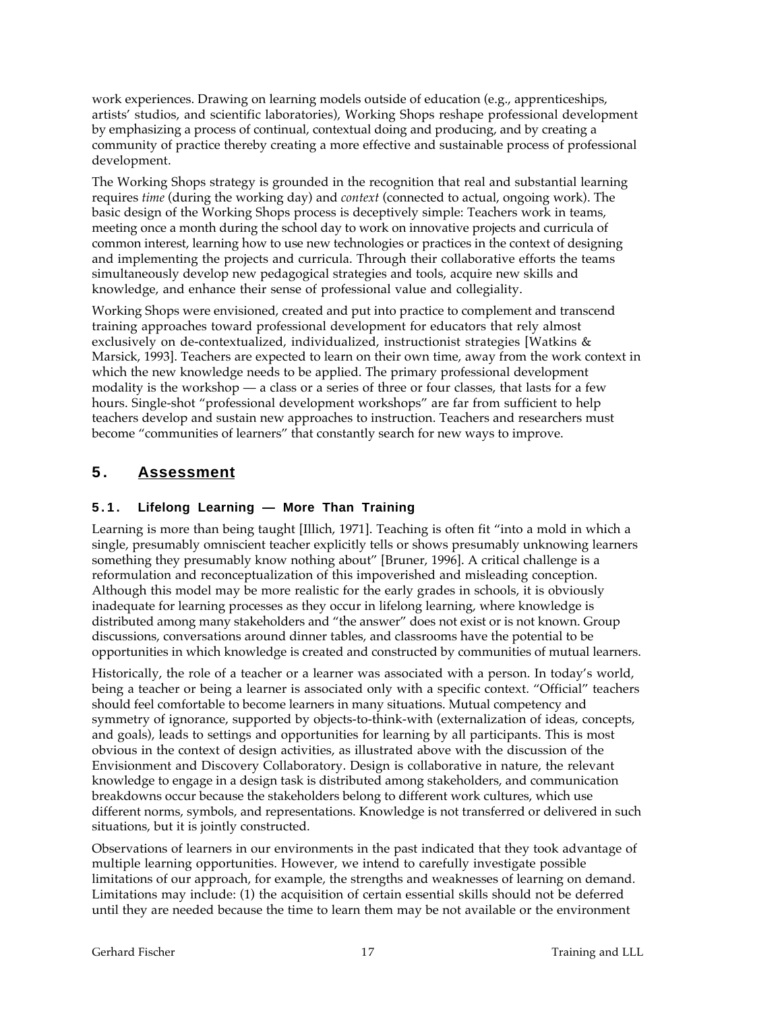work experiences. Drawing on learning models outside of education (e.g., apprenticeships, artists' studios, and scientific laboratories), Working Shops reshape professional development by emphasizing a process of continual, contextual doing and producing, and by creating a community of practice thereby creating a more effective and sustainable process of professional development.

The Working Shops strategy is grounded in the recognition that real and substantial learning requires *time* (during the working day) and *context* (connected to actual, ongoing work). The basic design of the Working Shops process is deceptively simple: Teachers work in teams, meeting once a month during the school day to work on innovative projects and curricula of common interest, learning how to use new technologies or practices in the context of designing and implementing the projects and curricula. Through their collaborative efforts the teams simultaneously develop new pedagogical strategies and tools, acquire new skills and knowledge, and enhance their sense of professional value and collegiality.

Working Shops were envisioned, created and put into practice to complement and transcend training approaches toward professional development for educators that rely almost exclusively on de-contextualized, individualized, instructionist strategies [Watkins & Marsick, 1993]. Teachers are expected to learn on their own time, away from the work context in which the new knowledge needs to be applied. The primary professional development modality is the workshop — a class or a series of three or four classes, that lasts for a few hours. Single-shot "professional development workshops" are far from sufficient to help teachers develop and sustain new approaches to instruction. Teachers and researchers must become "communities of learners" that constantly search for new ways to improve.

# **5 . Assessment**

### **5.1. Lifelong Learning — More Than Training**

Learning is more than being taught [Illich, 1971]. Teaching is often fit "into a mold in which a single, presumably omniscient teacher explicitly tells or shows presumably unknowing learners something they presumably know nothing about" [Bruner, 1996]. A critical challenge is a reformulation and reconceptualization of this impoverished and misleading conception. Although this model may be more realistic for the early grades in schools, it is obviously inadequate for learning processes as they occur in lifelong learning, where knowledge is distributed among many stakeholders and "the answer" does not exist or is not known. Group discussions, conversations around dinner tables, and classrooms have the potential to be opportunities in which knowledge is created and constructed by communities of mutual learners.

Historically, the role of a teacher or a learner was associated with a person. In today's world, being a teacher or being a learner is associated only with a specific context. "Official" teachers should feel comfortable to become learners in many situations. Mutual competency and symmetry of ignorance, supported by objects-to-think-with (externalization of ideas, concepts, and goals), leads to settings and opportunities for learning by all participants. This is most obvious in the context of design activities, as illustrated above with the discussion of the Envisionment and Discovery Collaboratory. Design is collaborative in nature, the relevant knowledge to engage in a design task is distributed among stakeholders, and communication breakdowns occur because the stakeholders belong to different work cultures, which use different norms, symbols, and representations. Knowledge is not transferred or delivered in such situations, but it is jointly constructed.

Observations of learners in our environments in the past indicated that they took advantage of multiple learning opportunities. However, we intend to carefully investigate possible limitations of our approach, for example, the strengths and weaknesses of learning on demand. Limitations may include: (1) the acquisition of certain essential skills should not be deferred until they are needed because the time to learn them may be not available or the environment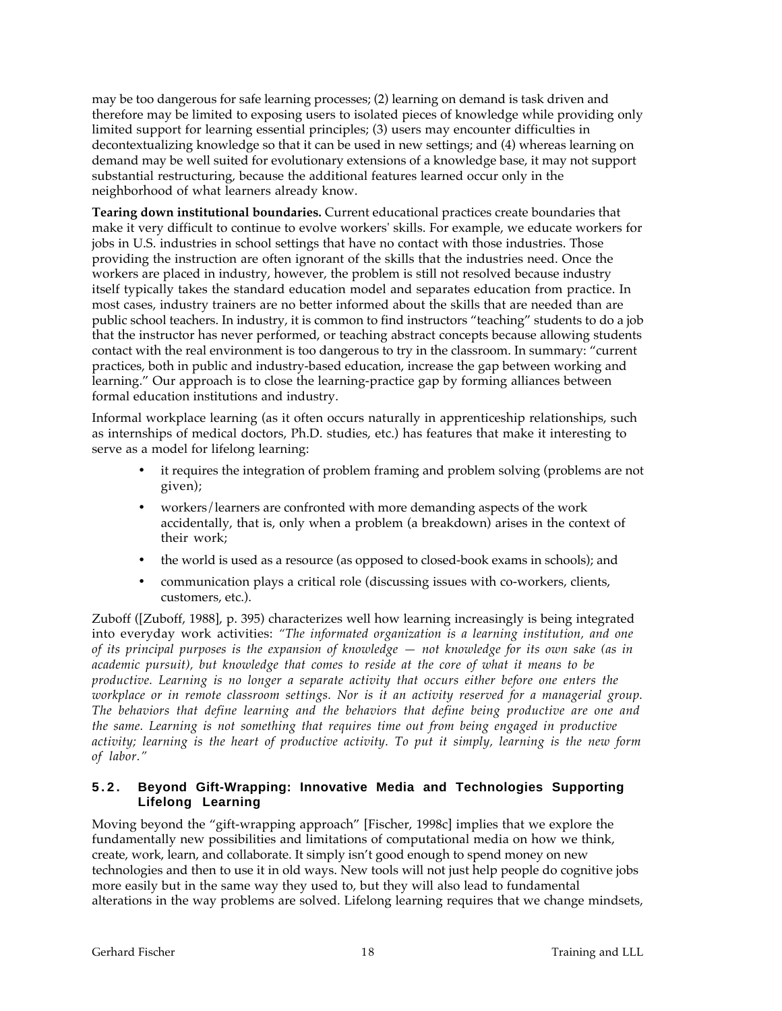may be too dangerous for safe learning processes; (2) learning on demand is task driven and therefore may be limited to exposing users to isolated pieces of knowledge while providing only limited support for learning essential principles; (3) users may encounter difficulties in decontextualizing knowledge so that it can be used in new settings; and (4) whereas learning on demand may be well suited for evolutionary extensions of a knowledge base, it may not support substantial restructuring, because the additional features learned occur only in the neighborhood of what learners already know.

**Tearing down institutional boundaries.** Current educational practices create boundaries that make it very difficult to continue to evolve workers' skills. For example, we educate workers for jobs in U.S. industries in school settings that have no contact with those industries. Those providing the instruction are often ignorant of the skills that the industries need. Once the workers are placed in industry, however, the problem is still not resolved because industry itself typically takes the standard education model and separates education from practice. In most cases, industry trainers are no better informed about the skills that are needed than are public school teachers. In industry, it is common to find instructors "teaching" students to do a job that the instructor has never performed, or teaching abstract concepts because allowing students contact with the real environment is too dangerous to try in the classroom. In summary: "current practices, both in public and industry-based education, increase the gap between working and learning." Our approach is to close the learning-practice gap by forming alliances between formal education institutions and industry.

Informal workplace learning (as it often occurs naturally in apprenticeship relationships, such as internships of medical doctors, Ph.D. studies, etc.) has features that make it interesting to serve as a model for lifelong learning:

- it requires the integration of problem framing and problem solving (problems are not given);
- workers/learners are confronted with more demanding aspects of the work accidentally, that is, only when a problem (a breakdown) arises in the context of their work;
- the world is used as a resource (as opposed to closed-book exams in schools); and
- communication plays a critical role (discussing issues with co-workers, clients, customers, etc.).

Zuboff ([Zuboff, 1988], p. 395) characterizes well how learning increasingly is being integrated into everyday work activities: *"The informated organization is a learning institution, and one of its principal purposes is the expansion of knowledge — not knowledge for its own sake (as in academic pursuit), but knowledge that comes to reside at the core of what it means to be productive. Learning is no longer a separate activity that occurs either before one enters the workplace or in remote classroom settings. Nor is it an activity reserved for a managerial group. The behaviors that define learning and the behaviors that define being productive are one and the same. Learning is not something that requires time out from being engaged in productive activity; learning is the heart of productive activity. To put it simply, learning is the new form of labor."*

### **5.2. Beyond Gift-Wrapping: Innovative Media and Technologies Supporting Lifelong Learning**

Moving beyond the "gift-wrapping approach" [Fischer, 1998c] implies that we explore the fundamentally new possibilities and limitations of computational media on how we think, create, work, learn, and collaborate. It simply isn't good enough to spend money on new technologies and then to use it in old ways. New tools will not just help people do cognitive jobs more easily but in the same way they used to, but they will also lead to fundamental alterations in the way problems are solved. Lifelong learning requires that we change mindsets,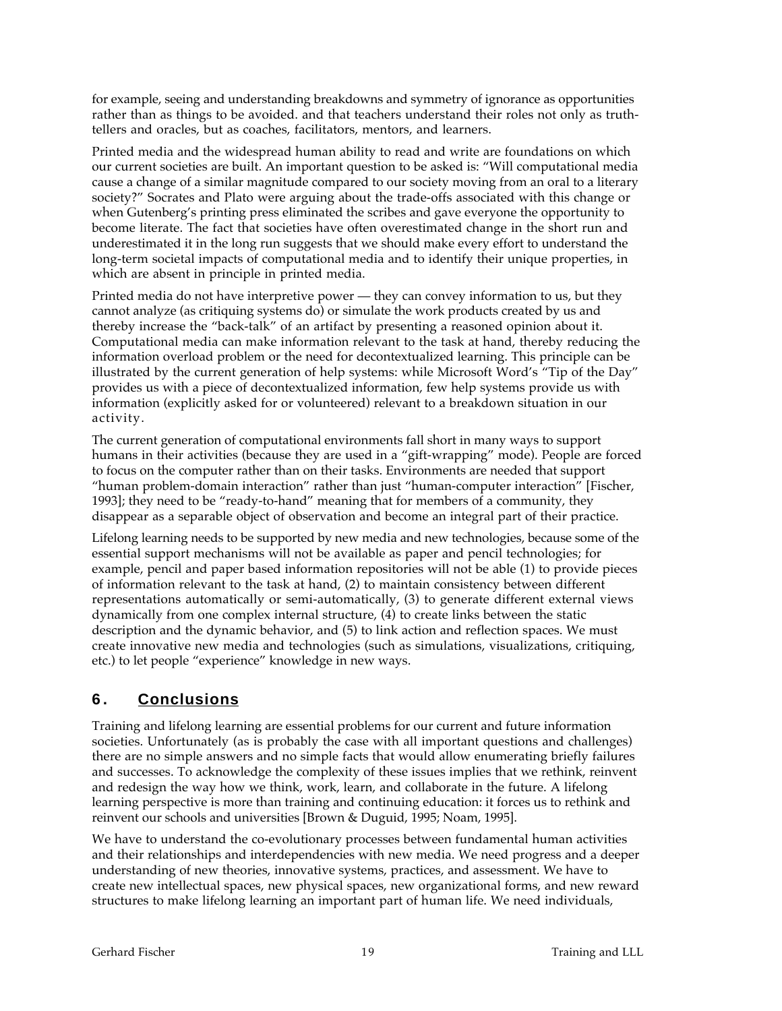for example, seeing and understanding breakdowns and symmetry of ignorance as opportunities rather than as things to be avoided. and that teachers understand their roles not only as truthtellers and oracles, but as coaches, facilitators, mentors, and learners.

Printed media and the widespread human ability to read and write are foundations on which our current societies are built. An important question to be asked is: "Will computational media cause a change of a similar magnitude compared to our society moving from an oral to a literary society?" Socrates and Plato were arguing about the trade-offs associated with this change or when Gutenberg's printing press eliminated the scribes and gave everyone the opportunity to become literate. The fact that societies have often overestimated change in the short run and underestimated it in the long run suggests that we should make every effort to understand the long-term societal impacts of computational media and to identify their unique properties, in which are absent in principle in printed media.

Printed media do not have interpretive power — they can convey information to us, but they cannot analyze (as critiquing systems do) or simulate the work products created by us and thereby increase the "back-talk" of an artifact by presenting a reasoned opinion about it. Computational media can make information relevant to the task at hand, thereby reducing the information overload problem or the need for decontextualized learning. This principle can be illustrated by the current generation of help systems: while Microsoft Word's "Tip of the Day" provides us with a piece of decontextualized information, few help systems provide us with information (explicitly asked for or volunteered) relevant to a breakdown situation in our activity.

The current generation of computational environments fall short in many ways to support humans in their activities (because they are used in a "gift-wrapping" mode). People are forced to focus on the computer rather than on their tasks. Environments are needed that support "human problem-domain interaction" rather than just "human-computer interaction" [Fischer, 1993]; they need to be "ready-to-hand" meaning that for members of a community, they disappear as a separable object of observation and become an integral part of their practice.

Lifelong learning needs to be supported by new media and new technologies, because some of the essential support mechanisms will not be available as paper and pencil technologies; for example, pencil and paper based information repositories will not be able (1) to provide pieces of information relevant to the task at hand, (2) to maintain consistency between different representations automatically or semi-automatically, (3) to generate different external views dynamically from one complex internal structure, (4) to create links between the static description and the dynamic behavior, and (5) to link action and reflection spaces. We must create innovative new media and technologies (such as simulations, visualizations, critiquing, etc.) to let people "experience" knowledge in new ways.

# **6 . Conclusions**

Training and lifelong learning are essential problems for our current and future information societies. Unfortunately (as is probably the case with all important questions and challenges) there are no simple answers and no simple facts that would allow enumerating briefly failures and successes. To acknowledge the complexity of these issues implies that we rethink, reinvent and redesign the way how we think, work, learn, and collaborate in the future. A lifelong learning perspective is more than training and continuing education: it forces us to rethink and reinvent our schools and universities [Brown & Duguid, 1995; Noam, 1995].

We have to understand the co-evolutionary processes between fundamental human activities and their relationships and interdependencies with new media. We need progress and a deeper understanding of new theories, innovative systems, practices, and assessment. We have to create new intellectual spaces, new physical spaces, new organizational forms, and new reward structures to make lifelong learning an important part of human life. We need individuals,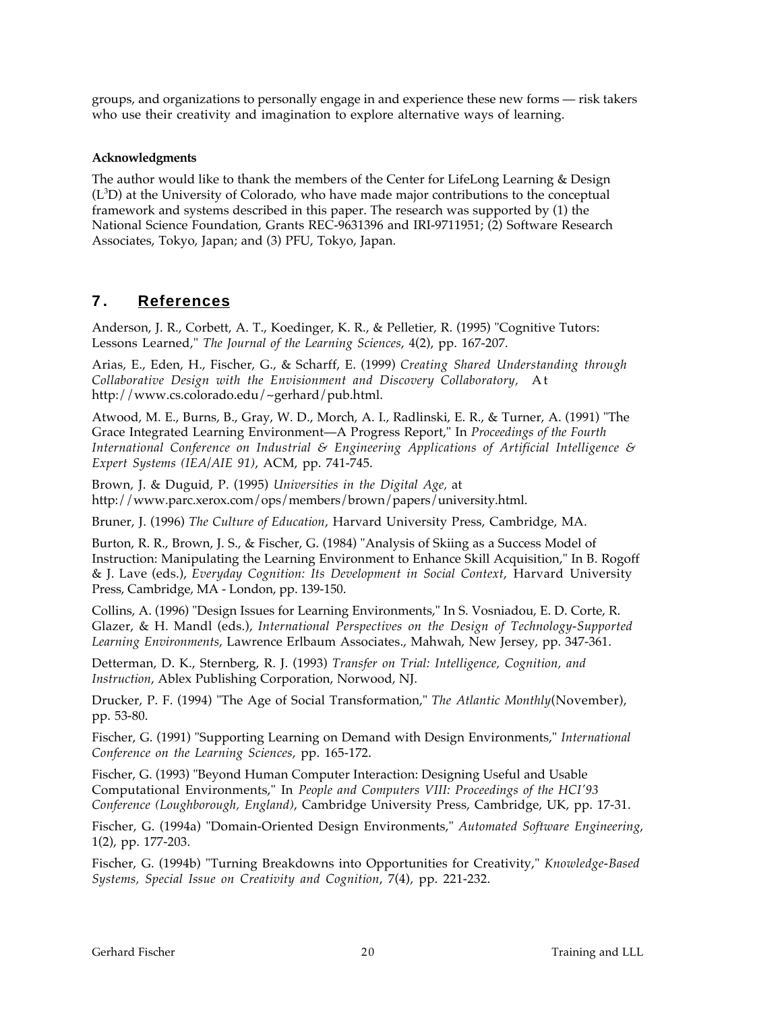groups, and organizations to personally engage in and experience these new forms — risk takers who use their creativity and imagination to explore alternative ways of learning.

#### **Acknowledgments**

The author would like to thank the members of the Center for LifeLong Learning & Design  $(L<sup>3</sup>D)$  at the University of Colorado, who have made major contributions to the conceptual framework and systems described in this paper. The research was supported by (1) the National Science Foundation, Grants REC-9631396 and IRI-9711951; (2) Software Research Associates, Tokyo, Japan; and (3) PFU, Tokyo, Japan.

### **7 . References**

Anderson, J. R., Corbett, A. T., Koedinger, K. R., & Pelletier, R. (1995) "Cognitive Tutors: Lessons Learned," *The Journal of the Learning Sciences*, 4(2), pp. 167-207.

Arias, E., Eden, H., Fischer, G., & Scharff, E. (1999) *Creating Shared Understanding through Collaborative Design with the Envisionment and Discovery Collaboratory,* A t http://www.cs.colorado.edu/~gerhard/pub.html.

Atwood, M. E., Burns, B., Gray, W. D., Morch, A. I., Radlinski, E. R., & Turner, A. (1991) "The Grace Integrated Learning Environment—A Progress Report," In *Proceedings of the Fourth International Conference on Industrial & Engineering Applications of Artificial Intelligence & Expert Systems (IEA/AIE 91)*, ACM, pp. 741-745.

Brown, J. & Duguid, P. (1995) *Universities in the Digital Age,* at http://www.parc.xerox.com/ops/members/brown/papers/university.html.

Bruner, J. (1996) *The Culture of Education*, Harvard University Press, Cambridge, MA.

Burton, R. R., Brown, J. S., & Fischer, G. (1984) "Analysis of Skiing as a Success Model of Instruction: Manipulating the Learning Environment to Enhance Skill Acquisition," In B. Rogoff & J. Lave (eds.), *Everyday Cognition: Its Development in Social Context*, Harvard University Press, Cambridge, MA - London, pp. 139-150.

Collins, A. (1996) "Design Issues for Learning Environments," In S. Vosniadou, E. D. Corte, R. Glazer, & H. Mandl (eds.), *International Perspectives on the Design of Technology-Supported Learning Environments*, Lawrence Erlbaum Associates., Mahwah, New Jersey, pp. 347-361.

Detterman, D. K., Sternberg, R. J. (1993) *Transfer on Trial: Intelligence, Cognition, and Instruction*, Ablex Publishing Corporation, Norwood, NJ.

Drucker, P. F. (1994) "The Age of Social Transformation," *The Atlantic Monthly*(November), pp. 53-80.

Fischer, G. (1991) "Supporting Learning on Demand with Design Environments," *International Conference on the Learning Sciences*, pp. 165-172.

Fischer, G. (1993) "Beyond Human Computer Interaction: Designing Useful and Usable Computational Environments," In *People and Computers VIII: Proceedings of the HCI'93 Conference (Loughborough, England)*, Cambridge University Press, Cambridge, UK, pp. 17-31.

Fischer, G. (1994a) "Domain-Oriented Design Environments," *Automated Software Engineering*, 1(2), pp. 177-203.

Fischer, G. (1994b) "Turning Breakdowns into Opportunities for Creativity," *Knowledge-Based Systems, Special Issue on Creativity and Cognition*, 7(4), pp. 221-232.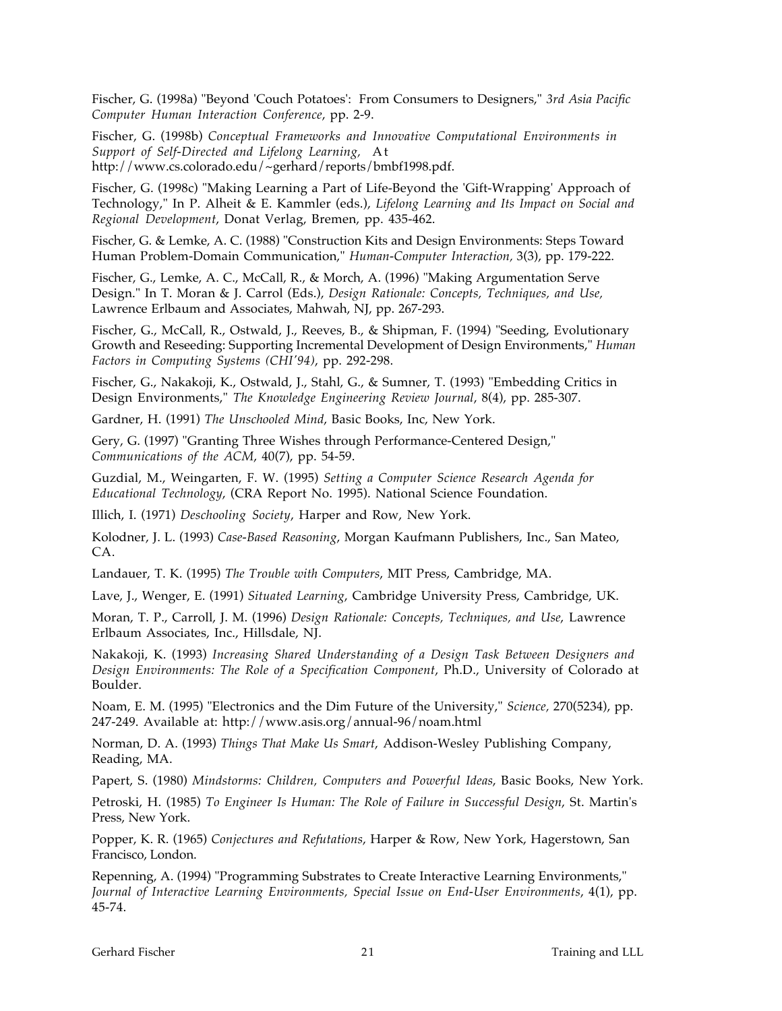Fischer, G. (1998a) "Beyond 'Couch Potatoes': From Consumers to Designers," *3rd Asia Pacific Computer Human Interaction Conference*, pp. 2-9.

Fischer, G. (1998b) *Conceptual Frameworks and Innovative Computational Environments in Support of Self-Directed and Lifelong Learning,* At http://www.cs.colorado.edu/~gerhard/reports/bmbf1998.pdf.

Fischer, G. (1998c) "Making Learning a Part of Life-Beyond the 'Gift-Wrapping' Approach of Technology," In P. Alheit & E. Kammler (eds.), *Lifelong Learning and Its Impact on Social and Regional Development*, Donat Verlag, Bremen, pp. 435-462.

Fischer, G. & Lemke, A. C. (1988) "Construction Kits and Design Environments: Steps Toward Human Problem-Domain Communication," *Human-Computer Interaction,* 3(3), pp. 179-222.

Fischer, G., Lemke, A. C., McCall, R., & Morch, A. (1996) "Making Argumentation Serve Design." In T. Moran & J. Carrol (Eds.), *Design Rationale: Concepts, Techniques, and Use,* Lawrence Erlbaum and Associates, Mahwah, NJ, pp. 267-293.

Fischer, G., McCall, R., Ostwald, J., Reeves, B., & Shipman, F. (1994) "Seeding, Evolutionary Growth and Reseeding: Supporting Incremental Development of Design Environments," *Human Factors in Computing Systems (CHI'94)*, pp. 292-298.

Fischer, G., Nakakoji, K., Ostwald, J., Stahl, G., & Sumner, T. (1993) "Embedding Critics in Design Environments," *The Knowledge Engineering Review Journal*, 8(4), pp. 285-307.

Gardner, H. (1991) *The Unschooled Mind*, Basic Books, Inc, New York.

Gery, G. (1997) "Granting Three Wishes through Performance-Centered Design," *Communications of the ACM*, 40(7), pp. 54-59.

Guzdial, M., Weingarten, F. W. (1995) *Setting a Computer Science Research Agenda for Educational Technology*, (CRA Report No. 1995). National Science Foundation.

Illich, I. (1971) *Deschooling Society*, Harper and Row, New York.

Kolodner, J. L. (1993) *Case-Based Reasoning*, Morgan Kaufmann Publishers, Inc., San Mateo, CA.

Landauer, T. K. (1995) *The Trouble with Computers*, MIT Press, Cambridge, MA.

Lave, J., Wenger, E. (1991) *Situated Learning*, Cambridge University Press, Cambridge, UK.

Moran, T. P., Carroll, J. M. (1996) *Design Rationale: Concepts, Techniques, and Use*, Lawrence Erlbaum Associates, Inc., Hillsdale, NJ.

Nakakoji, K. (1993) *Increasing Shared Understanding of a Design Task Between Designers and Design Environments: The Role of a Specification Component*, Ph.D., University of Colorado at Boulder.

Noam, E. M. (1995) "Electronics and the Dim Future of the University," *Science,* 270(5234), pp. 247-249. Available at: http://www.asis.org/annual-96/noam.html

Norman, D. A. (1993) *Things That Make Us Smart*, Addison-Wesley Publishing Company, Reading, MA.

Papert, S. (1980) *Mindstorms: Children, Computers and Powerful Ideas*, Basic Books, New York.

Petroski, H. (1985) *To Engineer Is Human: The Role of Failure in Successful Design*, St. Martin's Press, New York.

Popper, K. R. (1965) *Conjectures and Refutations*, Harper & Row, New York, Hagerstown, San Francisco, London.

Repenning, A. (1994) "Programming Substrates to Create Interactive Learning Environments," *Journal of Interactive Learning Environments, Special Issue on End-User Environments*, 4(1), pp. 45-74.